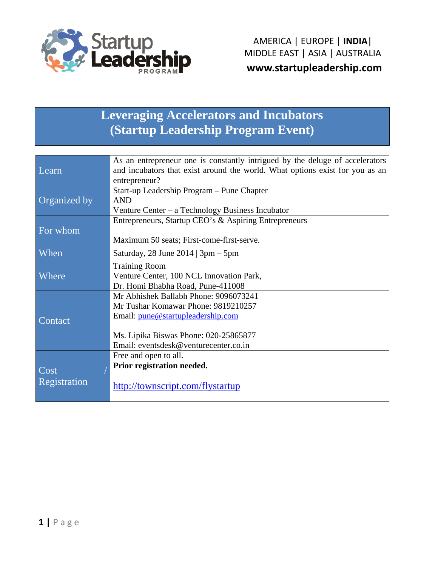

# **Leveraging Accelerators and Incubators** (Startup Leadership Program Event)

|                          | As an entrepreneur one is constantly intrigued by the deluge of accelerators |  |  |
|--------------------------|------------------------------------------------------------------------------|--|--|
| Learn                    | and incubators that exist around the world. What options exist for you as an |  |  |
|                          | entrepreneur?                                                                |  |  |
|                          | Start-up Leadership Program - Pune Chapter                                   |  |  |
| Organized by             | <b>AND</b>                                                                   |  |  |
|                          | Venture Center – a Technology Business Incubator                             |  |  |
|                          | Entrepreneurs, Startup CEO's & Aspiring Entrepreneurs                        |  |  |
| For whom                 |                                                                              |  |  |
|                          | Maximum 50 seats; First-come-first-serve.                                    |  |  |
| When                     | Saturday, 28 June $2014$   3pm $-$ 5pm                                       |  |  |
|                          | <b>Training Room</b>                                                         |  |  |
| <b>Where</b>             | Venture Center, 100 NCL Innovation Park,                                     |  |  |
|                          | Dr. Homi Bhabha Road, Pune-411008                                            |  |  |
|                          | Mr Abhishek Ballabh Phone: 9096073241                                        |  |  |
|                          | Mr Tushar Komawar Phone: 9819210257                                          |  |  |
|                          | Email: pune@startupleadership.com                                            |  |  |
| Contact                  |                                                                              |  |  |
|                          | Ms. Lipika Biswas Phone: 020-25865877                                        |  |  |
|                          | Email: eventsdesk@venturecenter.co.in                                        |  |  |
|                          | Free and open to all.                                                        |  |  |
|                          | Prior registration needed.                                                   |  |  |
| $\overline{\text{Cost}}$ |                                                                              |  |  |
| Registration             | http://townscript.com/flystartup                                             |  |  |
|                          |                                                                              |  |  |
|                          |                                                                              |  |  |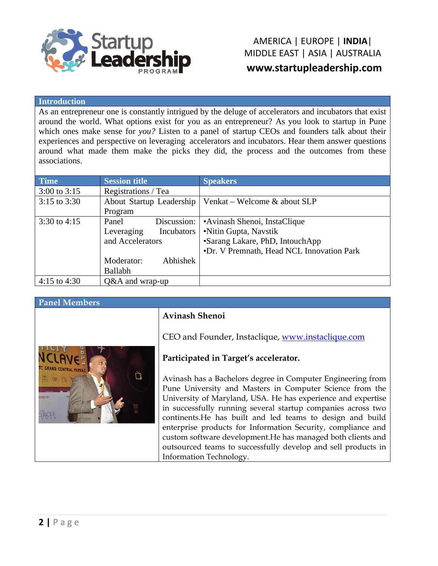

#### **I Introduction n**

As an entrepreneur one is constantly intrigued by the deluge of accelerators and incubators that exist around the world. What options exist for you as an entrepreneur? As you look to startup in Pune which ones make sense for *you?* Listen to a panel of startup CEOs and founders talk about their experiences and perspective on leveraging accelerators and incubators. Hear them answer questions around what made them make the picks they did, the process and the outcomes from these a associations.

| <b>Time</b>      | <b>Session title</b>     | <b>Speakers</b>                           |
|------------------|--------------------------|-------------------------------------------|
| $3:00$ to $3:15$ | Registrations / Tea      |                                           |
| $3:15$ to $3:30$ | About Startup Leadership | Venkat – Welcome & about SLP              |
|                  | Program                  |                                           |
| 3:30 to 4:15     | Discussion:<br>Panel     | •Avinash Shenoi, InstaClique              |
|                  | Incubators<br>Leveraging | •Nitin Gupta, Navstik                     |
|                  | and Accelerators         | •Sarang Lakare, PhD, IntouchApp           |
|                  |                          | •Dr. V Premnath, Head NCL Innovation Park |
|                  | Abhishek<br>Moderator:   |                                           |
|                  | <b>Ballabh</b>           |                                           |
| 4:15 to 4:30     | $Q&A$ and wrap-up        |                                           |

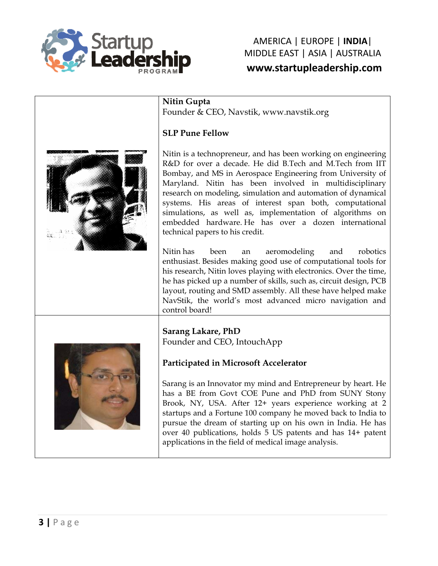

## MIDDLE EAST | ASIA | AUSTRALIA AMERICA A | EUROP PE | **INDIA** | **www.sta artuplead dership.co om**